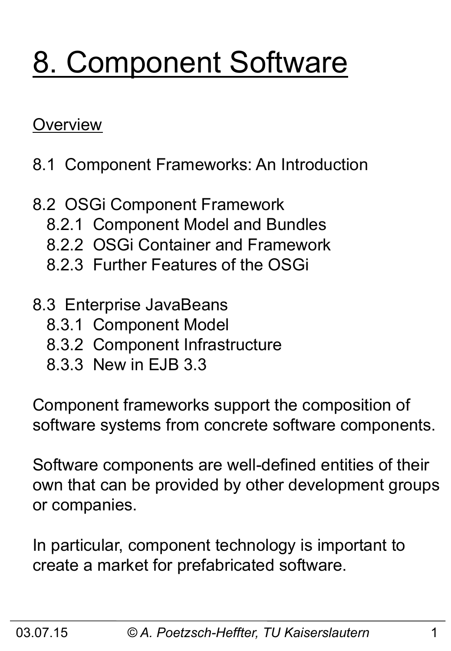# 8. Component Software

### **Overview**

- 8.1 Component Frameworks: An Introduction
- 8.2 OSGi Component Framework
	- 8.2.1 Component Model and Bundles
	- 8.2.2 OSGi Container and Framework
	- 8.2.3 Further Features of the OSGi
- 8.3 Enterprise JavaBeans
	- 8.3.1 Component Model
	- 8.3.2 Component Infrastructure
	- 8.3.3 New in EJB 3.3

Component frameworks support the composition of software systems from concrete software components.

Software components are well-defined entities of their own that can be provided by other development groups or companies.

In particular, component technology is important to create a market for prefabricated software.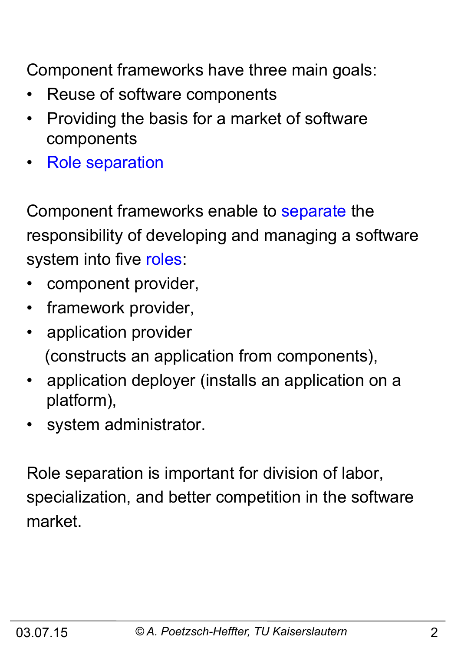Component frameworks have three main goals:

- Reuse of software components
- Providing the basis for a market of software components
- Role separation

Component frameworks enable to separate the responsibility of developing and managing a software system into five roles:

- component provider,
- framework provider,
- application provider (constructs an application from components),
- application deployer (installs an application on a platform),
- system administrator.

Role separation is important for division of labor, specialization, and better competition in the software market.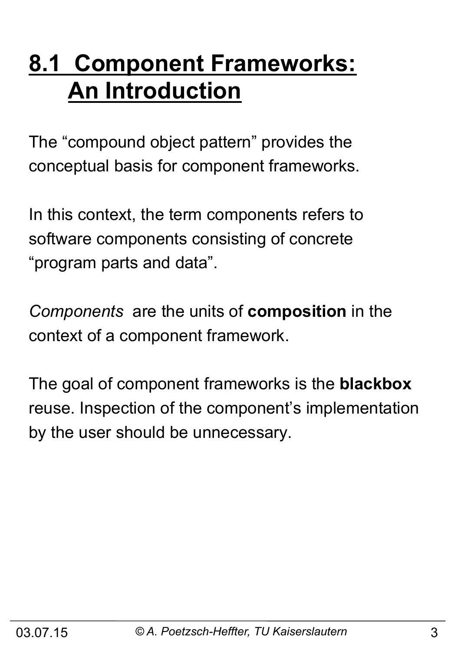## **8.1 Component Frameworks: An Introduction**

The "compound object pattern" provides the conceptual basis for component frameworks.

In this context, the term components refers to software components consisting of concrete "program parts and data".

*Components* are the units of **composition** in the context of a component framework.

The goal of component frameworks is the **blackbox**  reuse. Inspection of the component's implementation by the user should be unnecessary.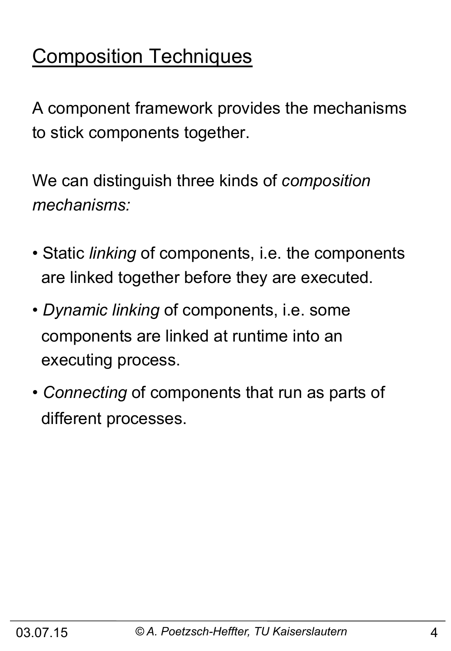## Composition Techniques

A component framework provides the mechanisms to stick components together.

We can distinguish three kinds of *composition mechanisms:* 

- Static *linking* of components, i.e. the components are linked together before they are executed.
- *Dynamic linking* of components, i.e. some components are linked at runtime into an executing process.
- *Connecting* of components that run as parts of different processes.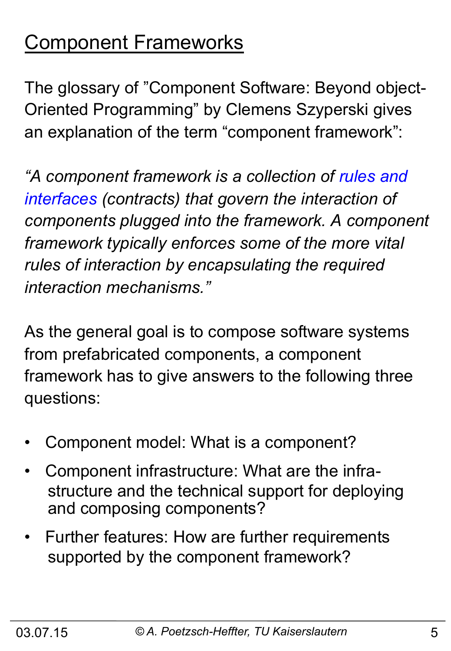## Component Frameworks

The glossary of "Component Software: Beyond object-Oriented Programming" by Clemens Szyperski gives an explanation of the term "component framework":

*"A component framework is a collection of rules and interfaces (contracts) that govern the interaction of components plugged into the framework. A component framework typically enforces some of the more vital rules of interaction by encapsulating the required interaction mechanisms."* 

As the general goal is to compose software systems from prefabricated components, a component framework has to give answers to the following three questions:

- Component model: What is a component?
- Component infrastructure: What are the infra structure and the technical support for deploying and composing components?
- Further features: How are further requirements supported by the component framework?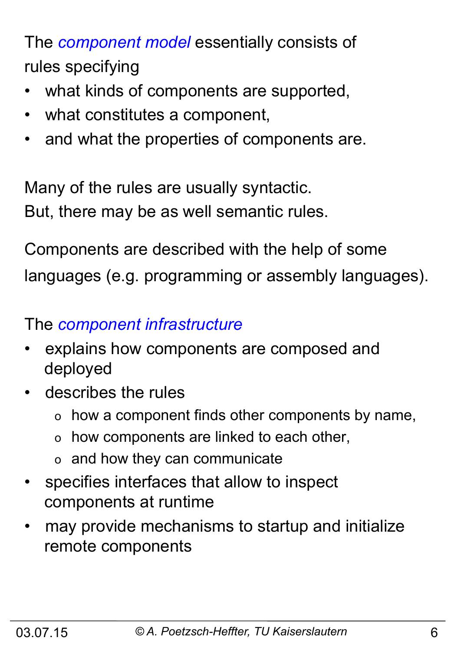The *component model* essentially consists of rules specifying

- what kinds of components are supported,
- what constitutes a component,
- and what the properties of components are.

Many of the rules are usually syntactic. But, there may be as well semantic rules.

Components are described with the help of some languages (e.g. programming or assembly languages).

### The *component infrastructure*

- explains how components are composed and deployed
- describes the rules
	- o how a component finds other components by name,
	- o how components are linked to each other,
	- o and how they can communicate
- specifies interfaces that allow to inspect components at runtime
- may provide mechanisms to startup and initialize remote components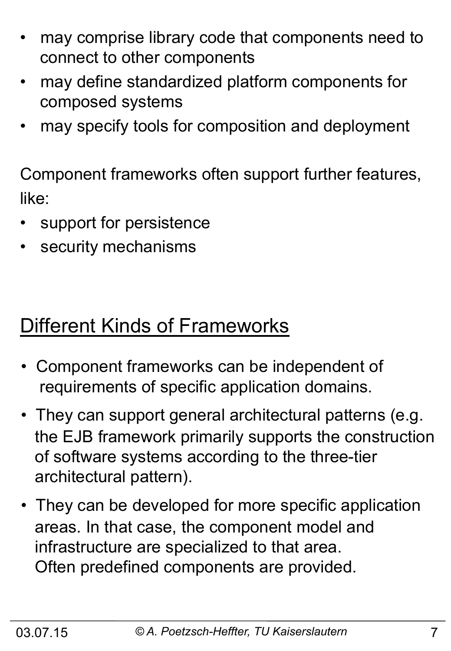- may comprise library code that components need to connect to other components
- may define standardized platform components for composed systems
- may specify tools for composition and deployment

Component frameworks often support further features, like:

- support for persistence
- security mechanisms

## Different Kinds of Frameworks

- Component frameworks can be independent of requirements of specific application domains.
- They can support general architectural patterns (e.g. the EJB framework primarily supports the construction of software systems according to the three-tier architectural pattern).
- They can be developed for more specific application areas. In that case, the component model and infrastructure are specialized to that area. Often predefined components are provided.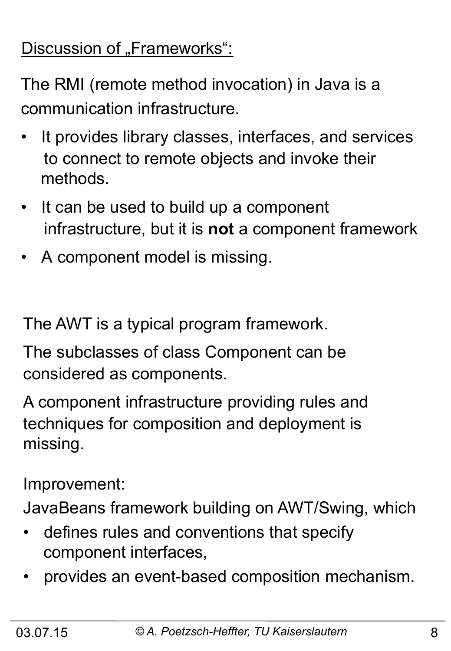### Discussion of "Frameworks":

The RMI (remote method invocation) in Java is a communication infrastructure.

- It provides library classes, interfaces, and services to connect to remote objects and invoke their methods.
- It can be used to build up a component infrastructure, but it is **not** a component framework
- A component model is missing.

The AWT is a typical program framework.

The subclasses of class Component can be considered as components.

A component infrastructure providing rules and techniques for composition and deployment is missing.

Improvement:

JavaBeans framework building on AWT/Swing, which

- defines rules and conventions that specify component interfaces,
- provides an event-based composition mechanism.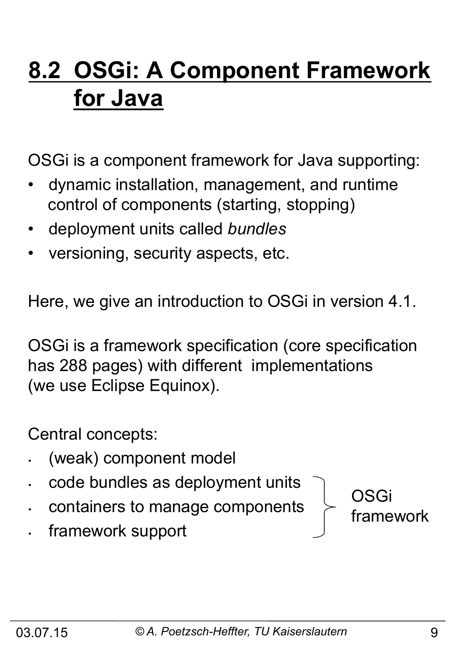## **8.2 OSGi: A Component Framework for Java**

OSGi is a component framework for Java supporting:

- dynamic installation, management, and runtime control of components (starting, stopping)
- deployment units called *bundles*
- versioning, security aspects, etc.

Here, we give an introduction to OSGi in version 4.1.

OSGi is a framework specification (core specification has 288 pages) with different implementations (we use Eclipse Equinox).

Central concepts:

- (weak) component model
- code bundles as deployment units
- containers to manage components
- framework support

OSGi

framework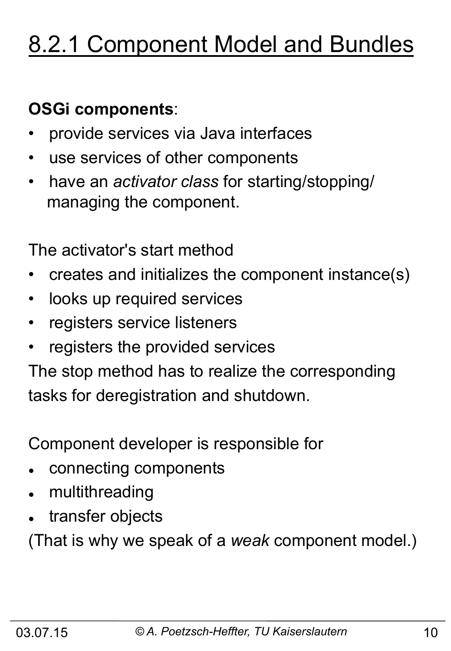## 8.2.1 Component Model and Bundles

### **OSGi components**:

- provide services via Java interfaces
- use services of other components
- have an *activator class* for starting/stopping/ managing the component.

The activator's start method

- creates and initializes the component instance(s)
- looks up required services
- registers service listeners
- registers the provided services

The stop method has to realize the corresponding tasks for deregistration and shutdown.

Component developer is responsible for

- connecting components
- multithreading
- transfer objects

(That is why we speak of a *weak* component model.)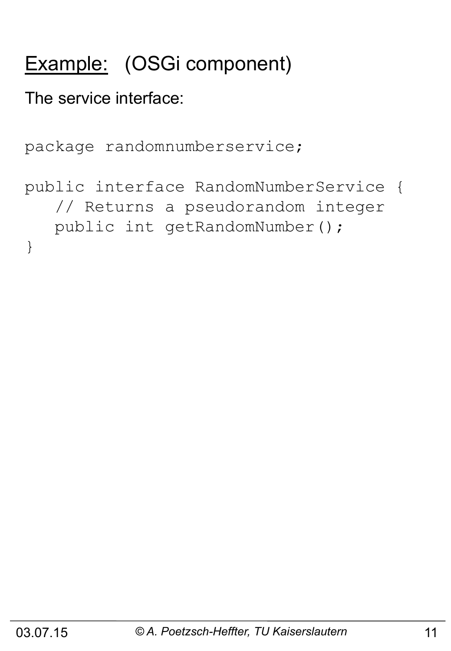## Example: (OSGi component)

The service interface:

```
package randomnumberservice;
```

```
public interface RandomNumberService { 
    // Returns a pseudorandom integer 
    public int getRandomNumber(); 
}
```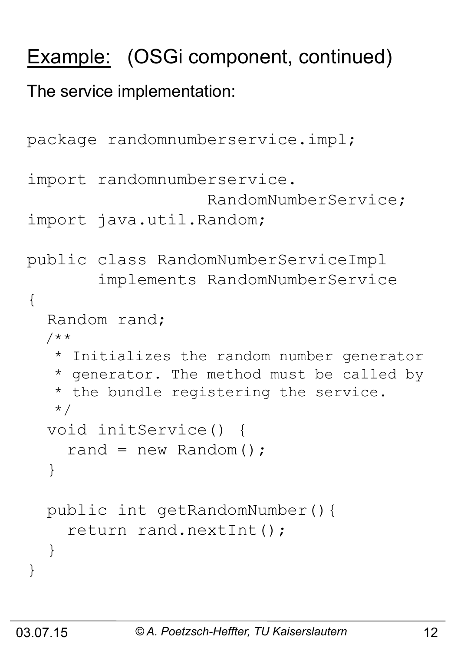## Example: (OSGi component, continued)

The service implementation:

```
package randomnumberservice.impl; 
import randomnumberservice. 
                     RandomNumberService; 
import java.util.Random; 
public class RandomNumberServiceImpl 
         implements RandomNumberService 
{ 
   Random rand; 
   /** 
    * Initializes the random number generator 
    * generator. The method must be called by 
    * the bundle registering the service. 
    */ 
   void initService() { 
    rand = new Random();
   } 
   public int getRandomNumber(){ 
     return rand.nextInt(); 
   } 
}
```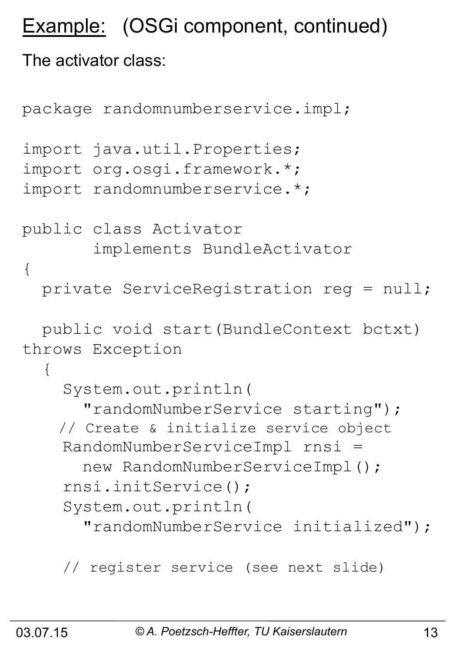## Example: (OSGi component, continued)

### The activator class:

```
package randomnumberservice.impl; 
import java.util.Properties; 
import org.osgi.framework.*; 
import randomnumberservice.*; 
public class Activator 
        implements BundleActivator 
{ 
   private ServiceRegistration reg = null; 
   public void start(BundleContext bctxt) 
throws Exception 
   { 
     System.out.println( 
       "randomNumberService starting"); 
     // Create & initialize service object 
     RandomNumberServiceImpl rnsi = 
      new RandomNumberServiceImpl();
     rnsi.initService(); 
     System.out.println( 
       "randomNumberService initialized");
```

```
 // register service (see next slide)
```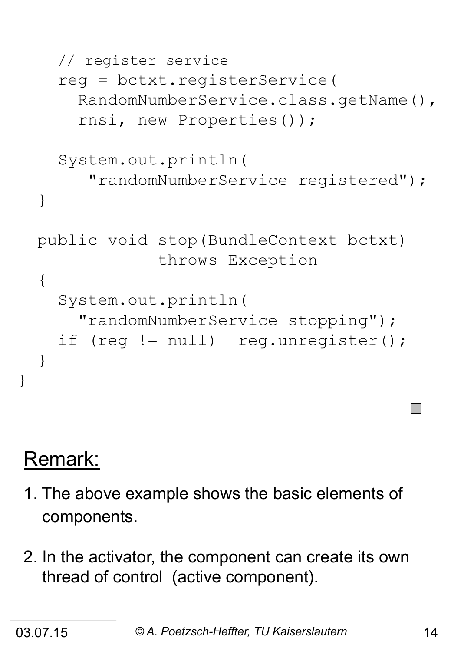```
 // register service 
   reg = bctxt.registerService( 
     RandomNumberService.class.getName(), 
     rnsi, new Properties()); 
   System.out.println( 
      "randomNumberService registered"); 
 } 
 public void stop(BundleContext bctxt) 
              throws Exception 
 { 
   System.out.println( 
     "randomNumberService stopping"); 
  if (req != null) req.unreqister();
 }
```
## Remark:

}

- 1. The above example shows the basic elements of components.
- 2. In the activator, the component can create its own thread of control (active component).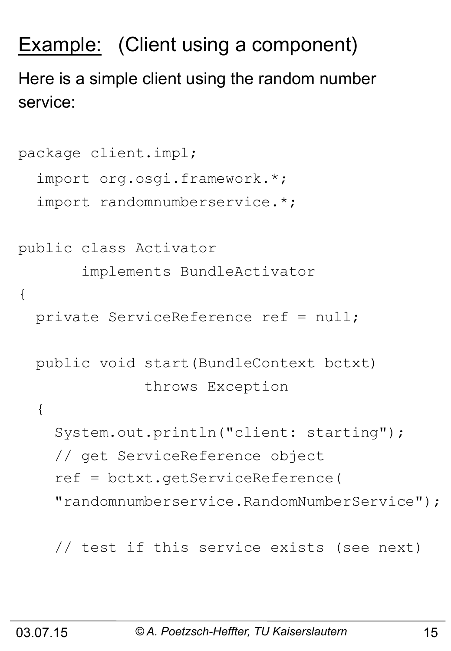## Example: (Client using a component)

Here is a simple client using the random number service:

```
package client.impl; 
   import org.osgi.framework.*; 
   import randomnumberservice.*; 
public class Activator 
        implements BundleActivator 
{ 
   private ServiceReference ref = null; 
   public void start(BundleContext bctxt) 
                throws Exception 
   { 
     System.out.println("client: starting"); 
     // get ServiceReference object 
     ref = bctxt.getServiceReference( 
     "randomnumberservice.RandomNumberService");
```
// test if this service exists (see next)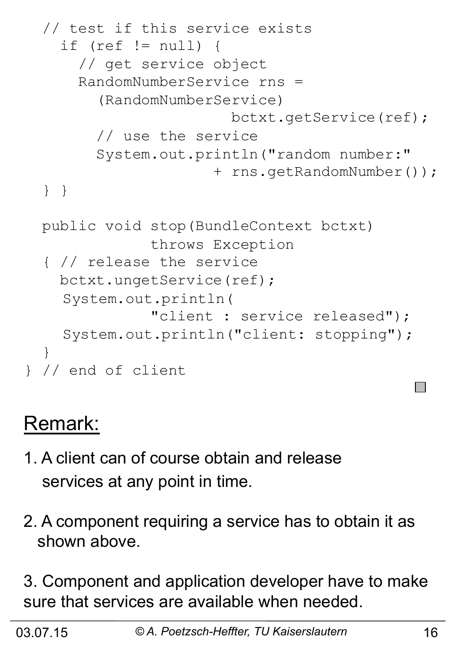```
 // test if this service exists 
    if (ref != null) {
       // get service object 
       RandomNumberService rns = 
          (RandomNumberService) 
                          bctxt.getService(ref); 
         // use the service 
         System.out.println("random number:" 
                        + rns.getRandomNumber()); 
   } } 
  public void stop(BundleContext bctxt) 
                throws Exception 
   { // release the service 
     bctxt.ungetService(ref); 
     System.out.println( 
                "client : service released"); 
     System.out.println("client: stopping"); 
   } 
} // end of client
```
## Remark:

- 1. A client can of course obtain and release services at any point in time.
- 2. A component requiring a service has to obtain it as shown above.

3. Component and application developer have to make sure that services are available when needed.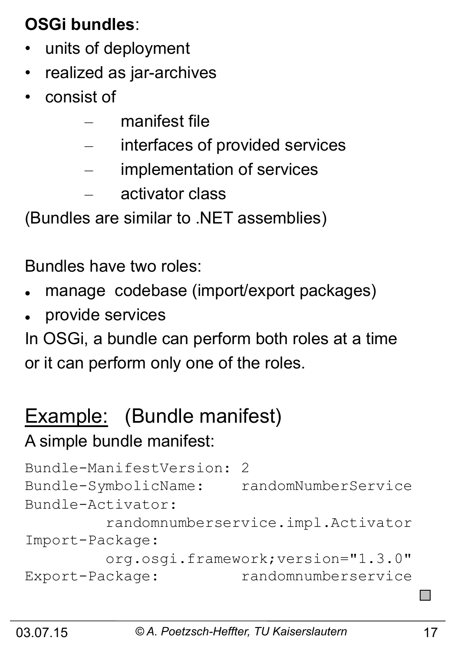## **OSGi bundles**:

- units of deployment
- realized as jar-archives
- consist of
	- manifest file
	- interfaces of provided services
	- implementation of services
	- activator class

(Bundles are similar to .NET assemblies)

Bundles have two roles:

- manage codebase (import/export packages)
- provide services

In OSGi, a bundle can perform both roles at a time or it can perform only one of the roles.

## Example: (Bundle manifest)

### A simple bundle manifest:

```
Bundle-ManifestVersion: 2 
Bundle-SymbolicName: randomNumberService 
Bundle-Activator: 
          randomnumberservice.impl.Activator 
Import-Package: 
          org.osgi.framework;version="1.3.0" 
Export-Package: randomnumberservice
```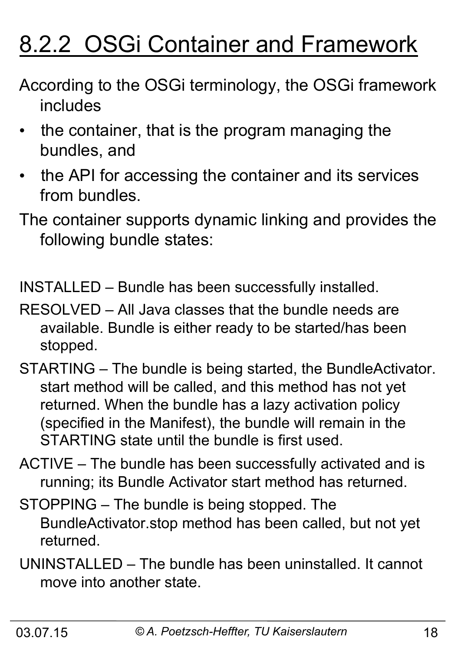## 8.2.2 OSGi Container and Framework

- According to the OSGi terminology, the OSGi framework includes
- the container, that is the program managing the bundles, and
- the API for accessing the container and its services from bundles.
- The container supports dynamic linking and provides the following bundle states:

INSTALLED – Bundle has been successfully installed.

- RESOLVED All Java classes that the bundle needs are available. Bundle is either ready to be started/has been stopped.
- STARTING The bundle is being started, the BundleActivator. start method will be called, and this method has not yet returned. When the bundle has a lazy activation policy (specified in the Manifest), the bundle will remain in the STARTING state until the bundle is first used.
- ACTIVE The bundle has been successfully activated and is running; its Bundle Activator start method has returned.
- STOPPING The bundle is being stopped. The BundleActivator.stop method has been called, but not yet returned.
- UNINSTALLED The bundle has been uninstalled. It cannot move into another state.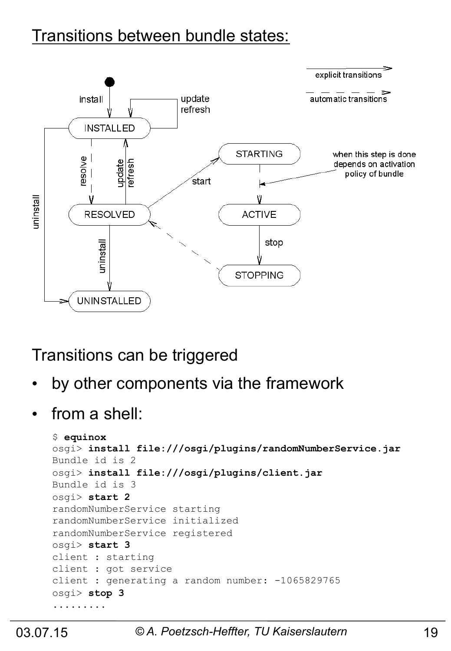### Transitions between bundle states:



### Transitions can be triggered

- by other components via the framework
- from a shell:

```
$ equinox 
osgi> install file:///osgi/plugins/randomNumberService.jar 
Bundle id is 2 
osgi> install file:///osgi/plugins/client.jar 
Bundle id is 3 
osgi> start 2 
randomNumberService starting 
randomNumberService initialized 
randomNumberService registered 
osgi> start 3 
client : starting 
client : got service 
client : generating a random number: -1065829765
osgi> stop 3 
.........
```
### 03.07.15 *© A. Poetzsch-Heffter, TU Kaiserslautern* 19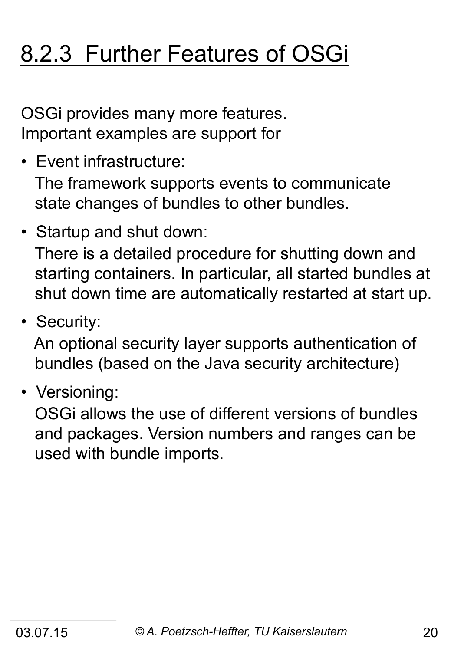## 8.2.3 Further Features of OSGi

OSGi provides many more features. Important examples are support for

• Event infrastructure:

 The framework supports events to communicate state changes of bundles to other bundles.

- Startup and shut down: There is a detailed procedure for shutting down and starting containers. In particular, all started bundles at shut down time are automatically restarted at start up.
- Security:

 An optional security layer supports authentication of bundles (based on the Java security architecture)

• Versioning:

 OSGi allows the use of different versions of bundles and packages. Version numbers and ranges can be used with bundle imports.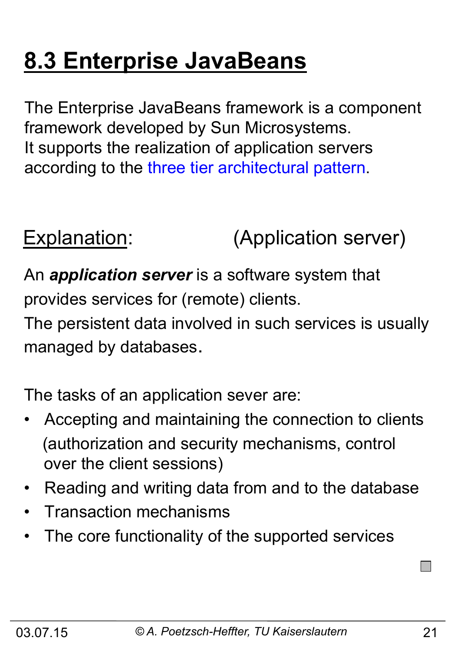## **8.3 Enterprise JavaBeans**

The Enterprise JavaBeans framework is a component framework developed by Sun Microsystems. It supports the realization of application servers according to the three tier architectural pattern.

Explanation: (Application server)

An *application server* is a software system that provides services for (remote) clients.

The persistent data involved in such services is usually managed by databases.

The tasks of an application sever are:

- Accepting and maintaining the connection to clients (authorization and security mechanisms, control over the client sessions)
- Reading and writing data from and to the database
- Transaction mechanisms
- The core functionality of the supported services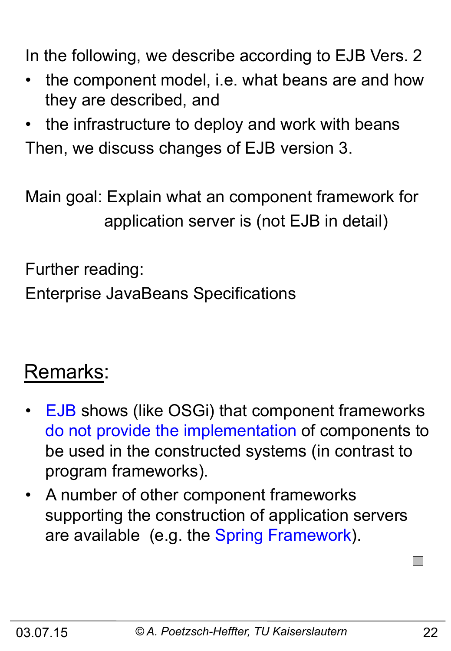In the following, we describe according to EJB Vers. 2

- the component model, i.e. what beans are and how they are described, and
- the infrastructure to deploy and work with beans Then, we discuss changes of EJB version 3.

Main goal: Explain what an component framework for application server is (not EJB in detail)

Further reading:

Enterprise JavaBeans Specifications

## Remarks:

- EJB shows (like OSGi) that component frameworks do not provide the implementation of components to be used in the constructed systems (in contrast to program frameworks).
- A number of other component frameworks supporting the construction of application servers are available (e.g. the Spring Framework).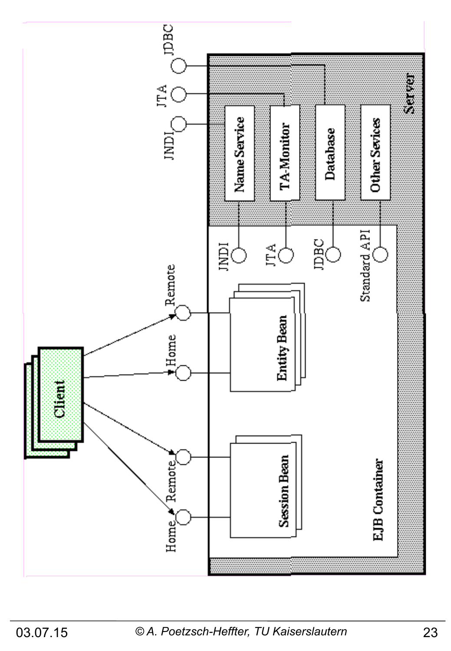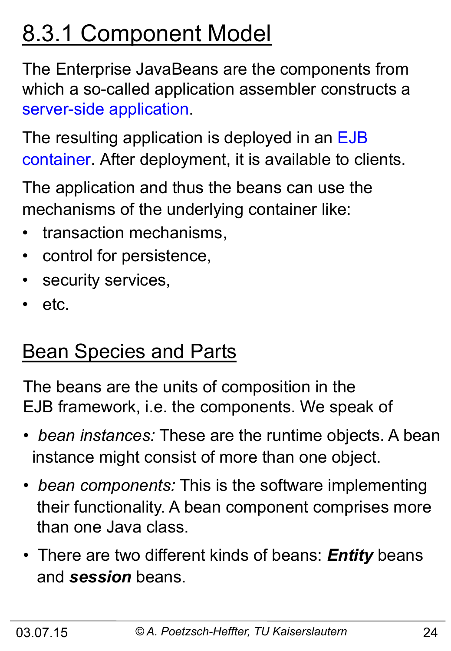## 8.3.1 Component Model

The Enterprise JavaBeans are the components from which a so-called application assembler constructs a server-side application.

The resulting application is deployed in an EJB container. After deployment, it is available to clients.

The application and thus the beans can use the mechanisms of the underlying container like:

- transaction mechanisms,
- control for persistence,
- security services,
- etc.

## **Bean Species and Parts**

The beans are the units of composition in the EJB framework, i.e. the components. We speak of

- • *bean instances:* These are the runtime objects. A bean instance might consist of more than one object.
- • *bean components:* This is the software implementing their functionality. A bean component comprises more than one Java class.
- There are two different kinds of beans: *Entity* beans and *session* beans.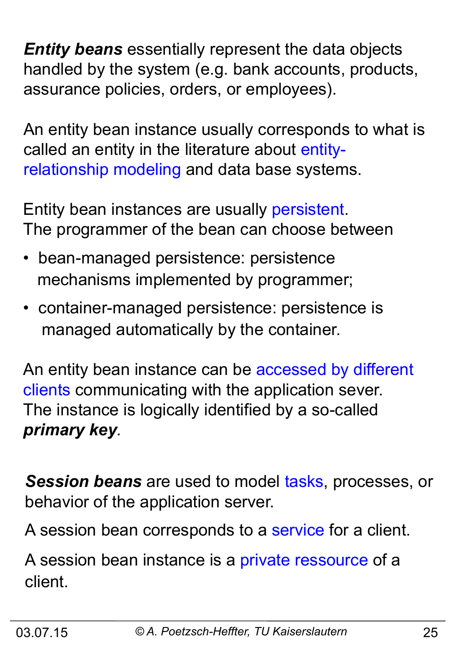*Entity beans* essentially represent the data objects handled by the system (e.g. bank accounts, products, assurance policies, orders, or employees).

An entity bean instance usually corresponds to what is called an entity in the literature about entityrelationship modeling and data base systems.

Entity bean instances are usually persistent. The programmer of the bean can choose between

- bean-managed persistence: persistence mechanisms implemented by programmer;
- container-managed persistence: persistence is managed automatically by the container.

An entity bean instance can be accessed by different clients communicating with the application sever. The instance is logically identified by a so-called *primary key.* 

*Session beans* are used to model tasks, processes, or behavior of the application server.

A session bean corresponds to a service for a client.

A session bean instance is a private ressource of a client.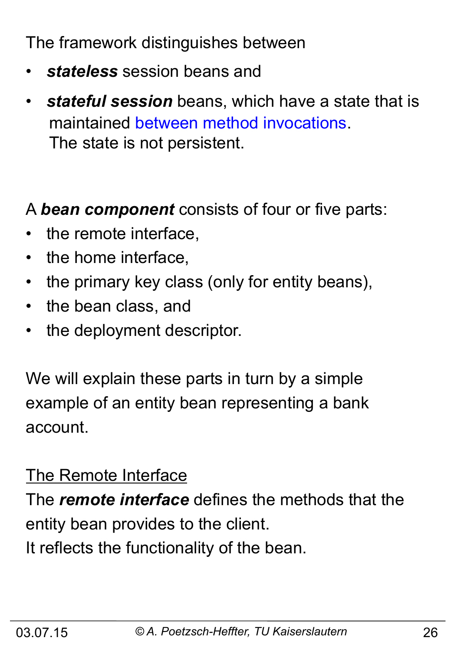The framework distinguishes between

- *stateless* session beans and
- *stateful session* beans, which have a state that is maintained between method invocations. The state is not persistent.

A *bean component* consists of four or five parts:

- the remote interface,
- the home interface,
- the primary key class (only for entity beans),
- the bean class, and
- the deployment descriptor.

We will explain these parts in turn by a simple example of an entity bean representing a bank account.

### The Remote Interface

The *remote interface* defines the methods that the entity bean provides to the client. It reflects the functionality of the bean.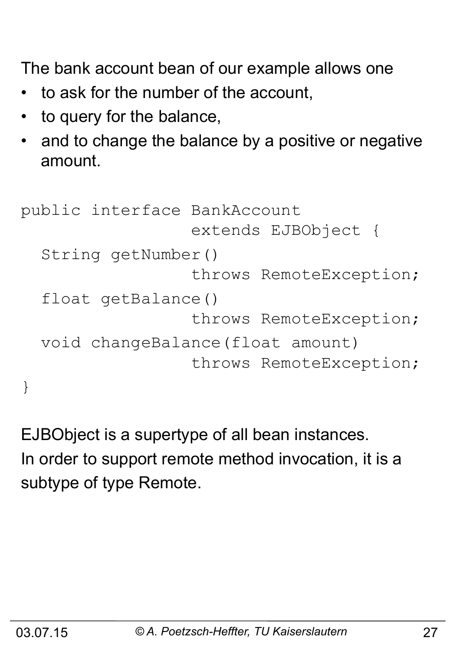The bank account bean of our example allows one

- to ask for the number of the account,
- to query for the balance,
- and to change the balance by a positive or negative amount.

```
public interface BankAccount 
                    extends EJBObject { 
   String getNumber() 
                    throws RemoteException; 
   float getBalance() 
                    throws RemoteException; 
   void changeBalance(float amount) 
                    throws RemoteException; 
}
```
EJBObject is a supertype of all bean instances. In order to support remote method invocation, it is a subtype of type Remote.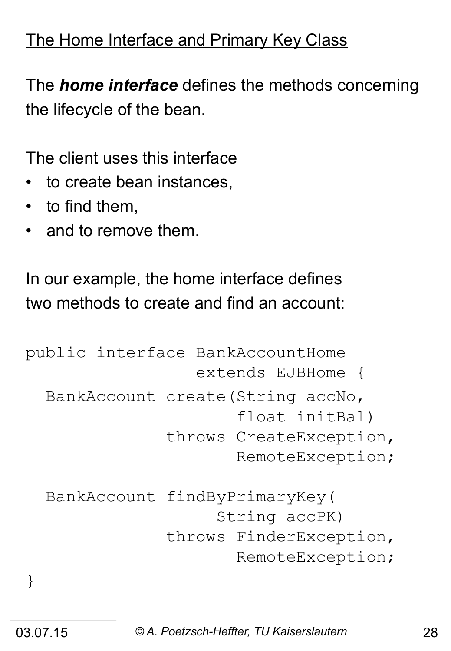### The Home Interface and Primary Key Class

The *home interface* defines the methods concerning the lifecycle of the bean.

The client uses this interface

- to create bean instances,
- to find them,
- and to remove them.

In our example, the home interface defines two methods to create and find an account:

```
public interface BankAccountHome 
                    extends EJBHome { 
   BankAccount create(String accNo, 
                         float initBal) 
                 throws CreateException, 
                        RemoteException; 
   BankAccount findByPrimaryKey( 
                      String accPK) 
                 throws FinderException, 
                        RemoteException;
```
}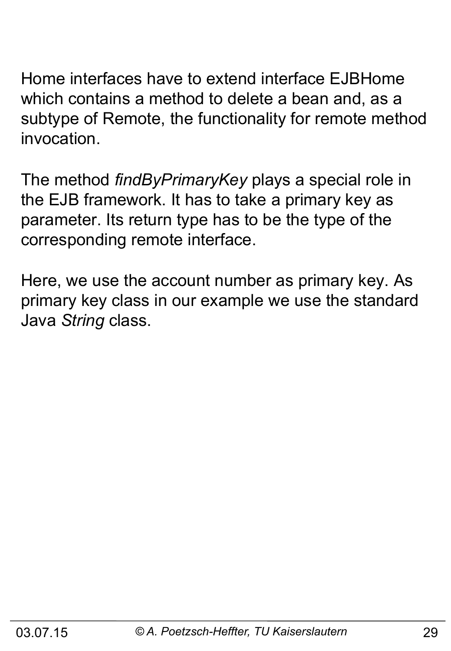Home interfaces have to extend interface EJBHome which contains a method to delete a bean and, as a subtype of Remote, the functionality for remote method invocation.

The method *findByPrimaryKey* plays a special role in the EJB framework. It has to take a primary key as parameter. Its return type has to be the type of the corresponding remote interface.

Here, we use the account number as primary key. As primary key class in our example we use the standard Java *String* class.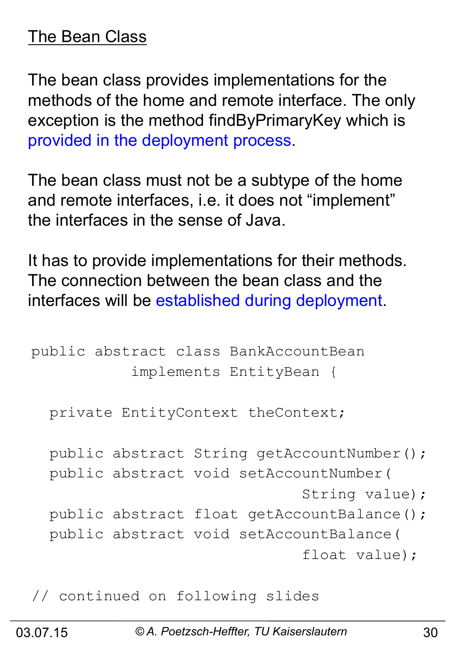### The Bean Class

The bean class provides implementations for the methods of the home and remote interface. The only exception is the method findByPrimaryKey which is provided in the deployment process.

The bean class must not be a subtype of the home and remote interfaces, i.e. it does not "implement" the interfaces in the sense of Java.

It has to provide implementations for their methods. The connection between the bean class and the interfaces will be established during deployment.

```
public abstract class BankAccountBean 
            implements EntityBean { 
   private EntityContext theContext; 
  public abstract String getAccountNumber();
   public abstract void setAccountNumber( 
                                 String value); 
  public abstract float getAccountBalance();
   public abstract void setAccountBalance( 
                                 float value);
```
// continued on following slides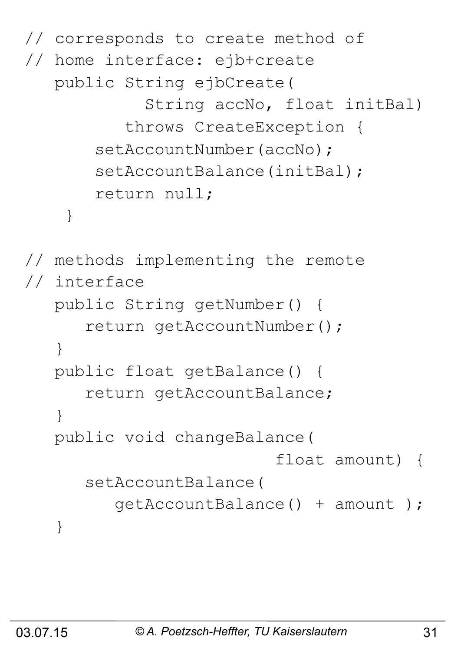```
// corresponds to create method of 
// home interface: ejb+create
    public String ejbCreate( 
              String accNo, float initBal) 
            throws CreateException { 
       setAccountNumber(accNo);
       setAccountBalance(initBal);
        return null; 
 } 
// methods implementing the remote 
// interface 
    public String getNumber() { 
       return getAccountNumber(); 
    } 
    public float getBalance() { 
       return getAccountBalance; 
    } 
    public void changeBalance( 
                            float amount) { 
       setAccountBalance( 
          getAccountBalance() + amount ); 
    }
```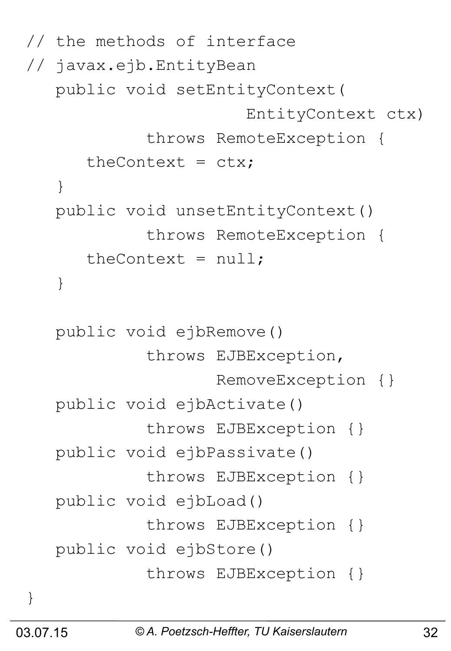```
// the methods of interface 
// javax.ejb.EntityBean
    public void setEntityContext( 
                         EntityContext ctx) 
              throws RemoteException { 
      theContext = ctx; } 
    public void unsetEntityContext() 
              throws RemoteException { 
      theContext = null; } 
    public void ejbRemove() 
              throws EJBException, 
                      RemoveException {} 
    public void ejbActivate() 
              throws EJBException {} 
    public void ejbPassivate() 
              throws EJBException {} 
    public void ejbLoad() 
              throws EJBException {} 
    public void ejbStore() 
              throws EJBException {}
```
}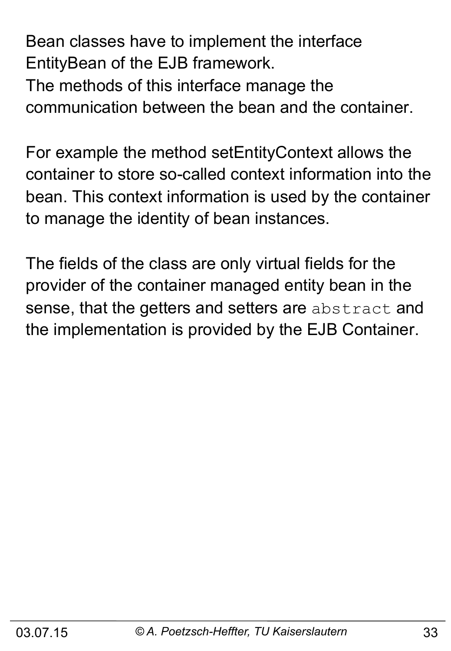Bean classes have to implement the interface EntityBean of the EJB framework.

The methods of this interface manage the communication between the bean and the container.

For example the method setEntityContext allows the container to store so-called context information into the bean. This context information is used by the container to manage the identity of bean instances.

The fields of the class are only virtual fields for the provider of the container managed entity bean in the sense, that the getters and setters are abstract and the implementation is provided by the EJB Container.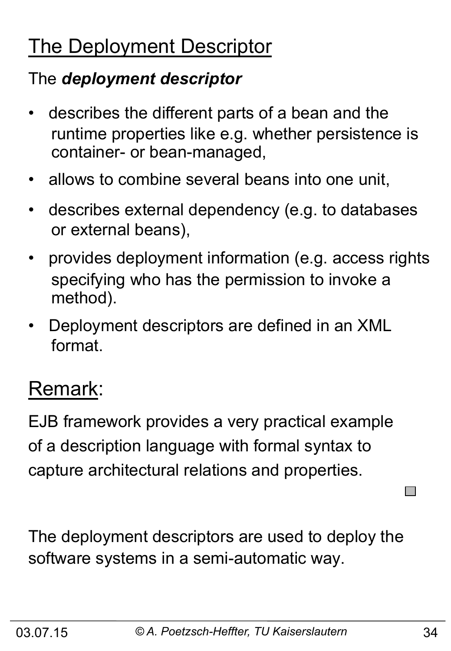## The Deployment Descriptor

## The *deployment descriptor*

- describes the different parts of a bean and the runtime properties like e.g. whether persistence is container- or bean-managed,
- allows to combine several beans into one unit,
- describes external dependency (e.g. to databases or external beans),
- provides deployment information (e.g. access rights specifying who has the permission to invoke a method).
- Deployment descriptors are defined in an XML format.

## Remark:

EJB framework provides a very practical example of a description language with formal syntax to capture architectural relations and properties.

The deployment descriptors are used to deploy the software systems in a semi-automatic way.

n and a strong for the strong strong part of the strong strong strong in the strong strong strong in the strong strong strong strong in the strong strong strong in the strong strong strong strong in the strong strong stron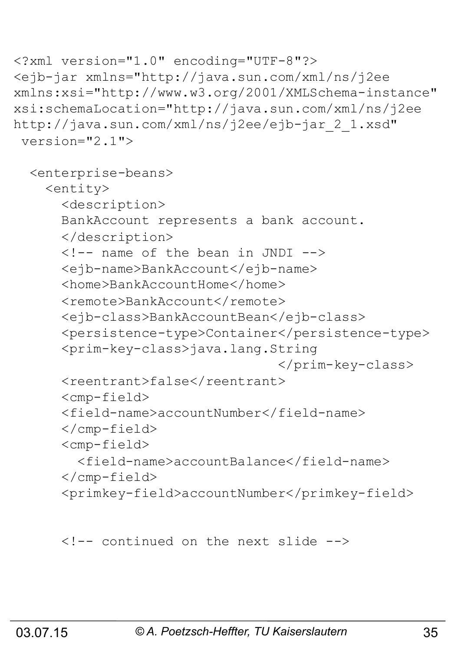```
<?xml version="1.0" encoding="UTF-8"?> 
<ejb-jar xmlns="http://java.sun.com/xml/ns/j2ee 
xmlns:xsi="http://www.w3.org/2001/XMLSchema-instance" 
xsi:schemaLocation="http://java.sun.com/xml/ns/j2ee 
http://java.sun.com/xml/ns/j2ee/ejb-jar_2_1.xsd" 
  version="2.1"> 
   <enterprise-beans> 
     <entity> 
       <description> 
       BankAccount represents a bank account. 
       </description> 
       <!-- name of the bean in JNDI --> 
       <ejb-name>BankAccount</ejb-name> 
       <home>BankAccountHome</home> 
      <remote>BankAccount</remote>
       <ejb-class>BankAccountBean</ejb-class> 
       <persistence-type>Container</persistence-type> 
       <prim-key-class>java.lang.String
                                    </prim-key-class> 
       <reentrant>false</reentrant> 
       <cmp-field> 
       <field-name>accountNumber</field-name> 
       </cmp-field> 
       <cmp-field> 
         <field-name>accountBalance</field-name> 
       </cmp-field> 
       <primkey-field>accountNumber</primkey-field>
```

```
 <!-- continued on the next slide -->
```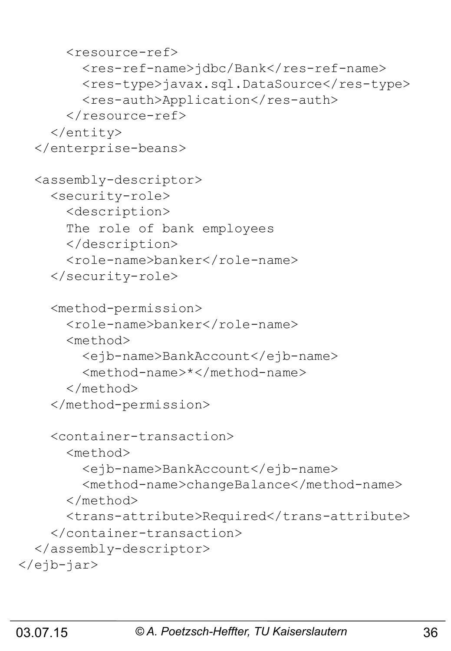```
 <resource-ref> 
         <res-ref-name>jdbc/Bank</res-ref-name> 
        <res-type>javax.sql.DataSource</res-type>
        <res-auth>Application</res-auth>
       </resource-ref> 
     </entity> 
   </enterprise-beans> 
   <assembly-descriptor> 
     <security-role> 
       <description> 
       The role of bank employees 
       </description> 
       <role-name>banker</role-name> 
     </security-role> 
     <method-permission> 
       <role-name>banker</role-name> 
       <method> 
         <ejb-name>BankAccount</ejb-name> 
         <method-name>*</method-name> 
       </method> 
     </method-permission> 
     <container-transaction> 
       <method> 
         <ejb-name>BankAccount</ejb-name> 
         <method-name>changeBalance</method-name> 
       </method> 
       <trans-attribute>Required</trans-attribute> 
     </container-transaction> 
   </assembly-descriptor> 
</ejb-jar>
```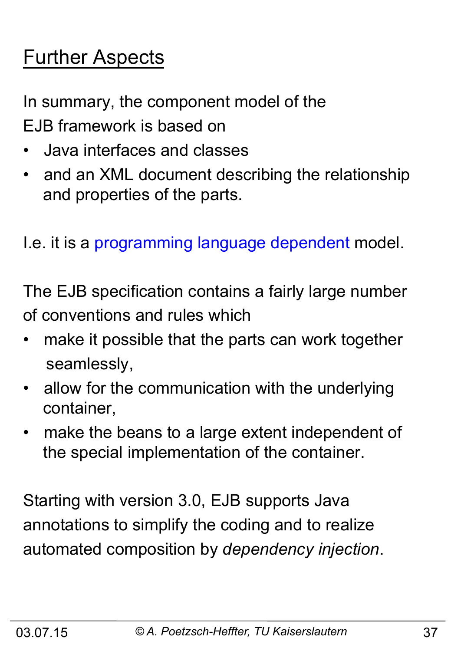## Further Aspects

In summary, the component model of the EJB framework is based on

- Java interfaces and classes
- and an XML document describing the relationship and properties of the parts.

I.e. it is a programming language dependent model.

The EJB specification contains a fairly large number of conventions and rules which

- make it possible that the parts can work together seamlessly,
- allow for the communication with the underlying container,
- make the beans to a large extent independent of the special implementation of the container.

Starting with version 3.0, EJB supports Java annotations to simplify the coding and to realize automated composition by *dependency injection*.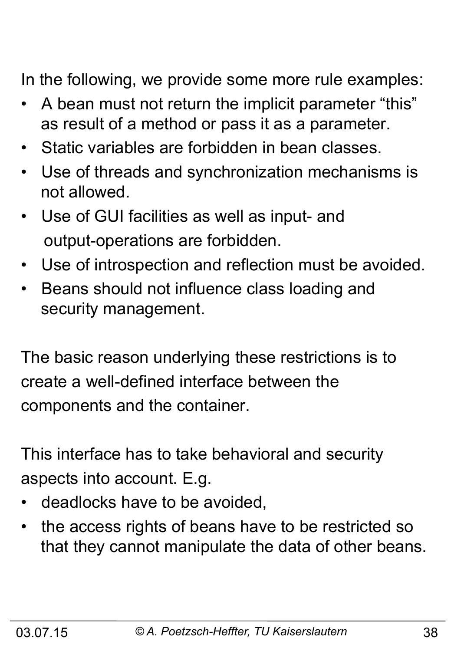In the following, we provide some more rule examples:

- A bean must not return the implicit parameter "this" as result of a method or pass it as a parameter.
- Static variables are forbidden in bean classes.
- Use of threads and synchronization mechanisms is not allowed.
- Use of GUI facilities as well as input- and output-operations are forbidden.
- Use of introspection and reflection must be avoided.
- Beans should not influence class loading and security management.

The basic reason underlying these restrictions is to create a well-defined interface between the components and the container.

This interface has to take behavioral and security aspects into account. E.g.

- deadlocks have to be avoided,
- the access rights of beans have to be restricted so that they cannot manipulate the data of other beans.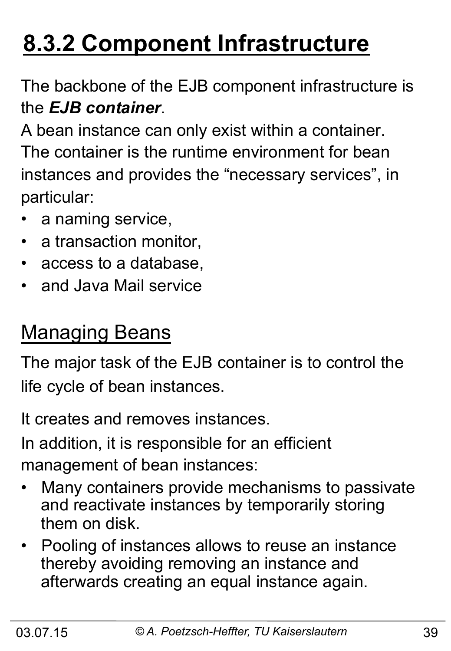## **8.3.2 Component Infrastructure**

The backbone of the EJB component infrastructure is the *EJB container*.

A bean instance can only exist within a container. The container is the runtime environment for bean instances and provides the "necessary services", in particular:

- a naming service,
- a transaction monitor,
- access to a database,
- and Java Mail service

## Managing Beans

The major task of the EJB container is to control the life cycle of bean instances.

It creates and removes instances.

In addition, it is responsible for an efficient management of bean instances:

- Many containers provide mechanisms to passivate and reactivate instances by temporarily storing them on disk.
- Pooling of instances allows to reuse an instance thereby avoiding removing an instance and afterwards creating an equal instance again.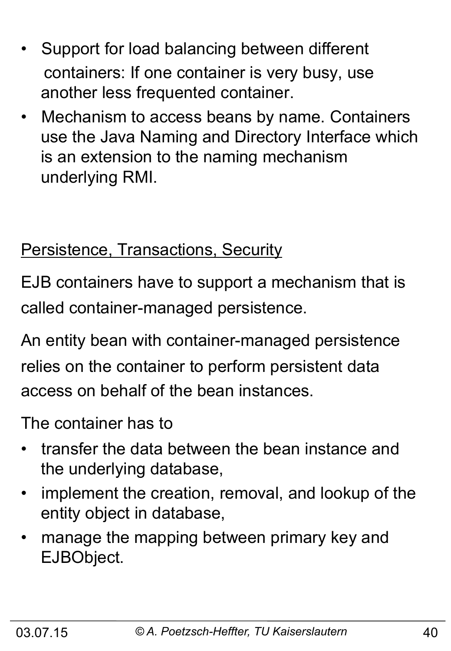- Support for load balancing between different containers: If one container is very busy, use another less frequented container.
- Mechanism to access beans by name. Containers use the Java Naming and Directory Interface which is an extension to the naming mechanism underlying RMI.

### Persistence, Transactions, Security

EJB containers have to support a mechanism that is called container-managed persistence.

An entity bean with container-managed persistence relies on the container to perform persistent data access on behalf of the bean instances.

The container has to

- transfer the data between the bean instance and the underlying database,
- implement the creation, removal, and lookup of the entity object in database,
- manage the mapping between primary key and EJBObject.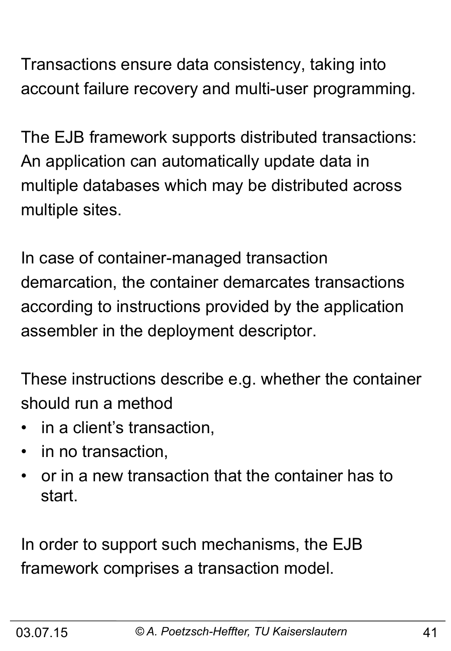Transactions ensure data consistency, taking into account failure recovery and multi-user programming.

The EJB framework supports distributed transactions: An application can automatically update data in multiple databases which may be distributed across multiple sites.

In case of container-managed transaction demarcation, the container demarcates transactions according to instructions provided by the application assembler in the deployment descriptor.

These instructions describe e.g. whether the container should run a method

- in a client's transaction,
- in no transaction,
- or in a new transaction that the container has to start.

In order to support such mechanisms, the EJB framework comprises a transaction model.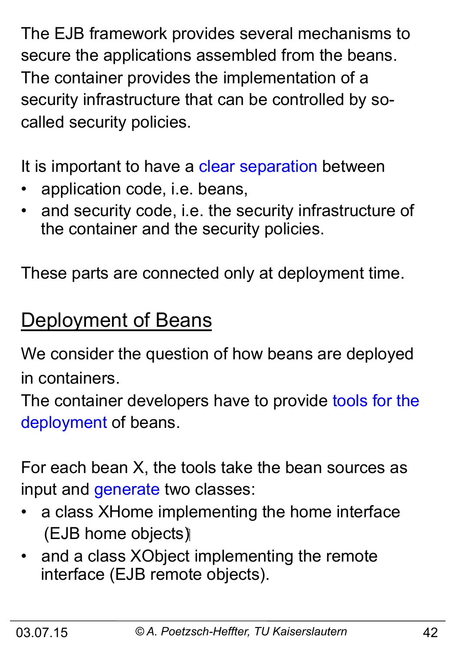The EJB framework provides several mechanisms to secure the applications assembled from the beans. The container provides the implementation of a security infrastructure that can be controlled by socalled security policies.

It is important to have a clear separation between

- application code, i.e. beans,
- and security code, i.e. the security infrastructure of the container and the security policies.

These parts are connected only at deployment time.

## Deployment of Beans

We consider the question of how beans are deployed in containers.

The container developers have to provide tools for the deployment of beans.

For each bean X, the tools take the bean sources as input and generate two classes:

- a class XHome implementing the home interface (EJB home objects)
- and a class XObject implementing the remote interface (EJB remote objects).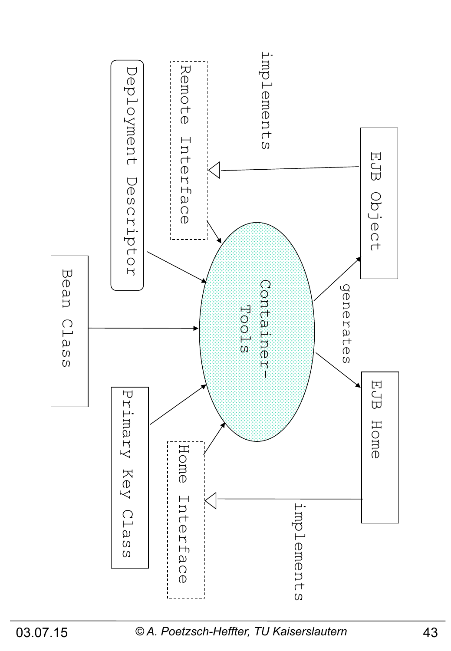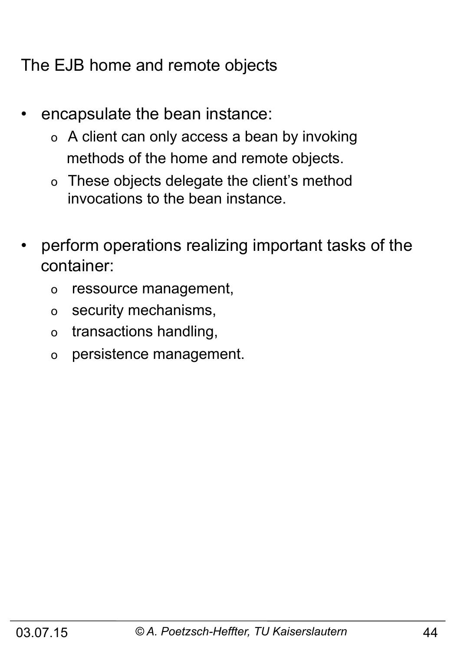The EJB home and remote objects

- encapsulate the bean instance:
	- o A client can only access a bean by invoking methods of the home and remote objects.
	- o These objects delegate the client's method invocations to the bean instance.
- perform operations realizing important tasks of the container:
	- o ressource management,
	- o security mechanisms,
	- o transactions handling,
	- o persistence management.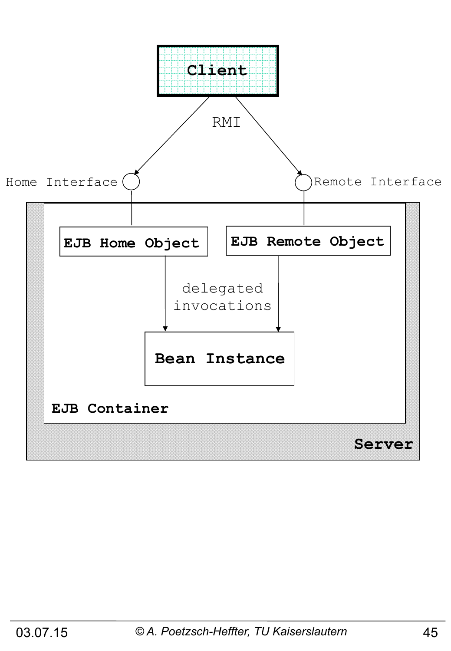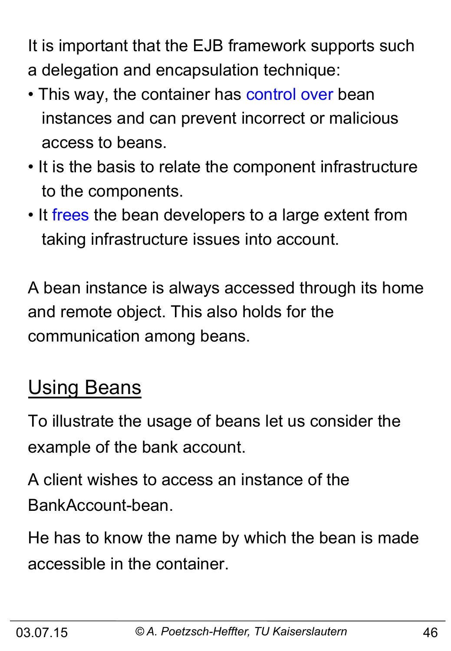It is important that the EJB framework supports such a delegation and encapsulation technique:

- This way, the container has control over bean instances and can prevent incorrect or malicious access to beans.
- It is the basis to relate the component infrastructure to the components.
- It frees the bean developers to a large extent from taking infrastructure issues into account.

A bean instance is always accessed through its home and remote object. This also holds for the communication among beans.

## **Using Beans**

To illustrate the usage of beans let us consider the example of the bank account.

A client wishes to access an instance of the BankAccount-bean.

He has to know the name by which the bean is made accessible in the container.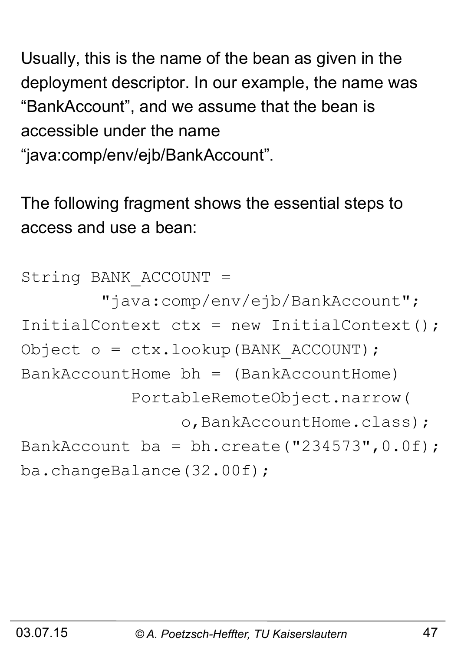Usually, this is the name of the bean as given in the deployment descriptor. In our example, the name was "BankAccount", and we assume that the bean is accessible under the name

"java:comp/env/ejb/BankAccount".

The following fragment shows the essential steps to access and use a bean:

String BANK\_ACCOUNT = "java:comp/env/ejb/BankAccount"; InitialContext ctx = new InitialContext(); Object o = ctx.lookup(BANK\_ACCOUNT);  $BankAccountHome bh = (BankAccountHome)$  PortableRemoteObject.narrow( o,BankAccountHome.class); BankAccount ba = bh.create("234573",  $0.0f$ ); ba.changeBalance(32.00f);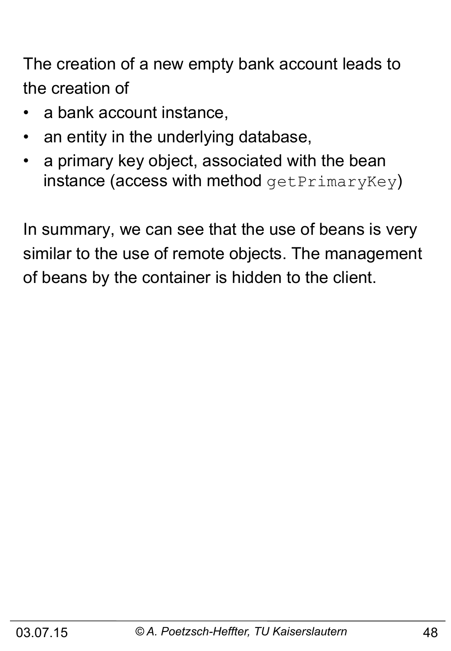The creation of a new empty bank account leads to the creation of

- a bank account instance,
- an entity in the underlying database,
- a primary key object, associated with the bean instance (access with method  $getPrimaryKey$ )

In summary, we can see that the use of beans is very similar to the use of remote objects. The management of beans by the container is hidden to the client.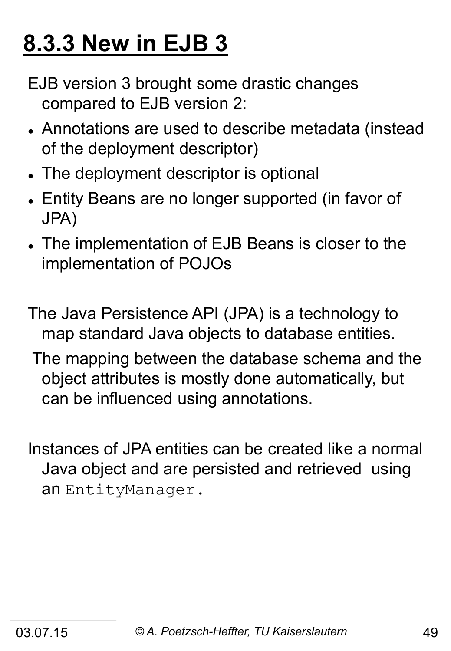## **8.3.3 New in EJB 3**

EJB version 3 brought some drastic changes compared to EJB version 2:

- Annotations are used to describe metadata (instead of the deployment descriptor)
- The deployment descriptor is optional
- Entity Beans are no longer supported (in favor of JPA)
- The implementation of EJB Beans is closer to the implementation of POJOs
- The Java Persistence API (JPA) is a technology to map standard Java objects to database entities.
- The mapping between the database schema and the object attributes is mostly done automatically, but can be influenced using annotations.
- Instances of JPA entities can be created like a normal Java object and are persisted and retrieved using an EntityManager.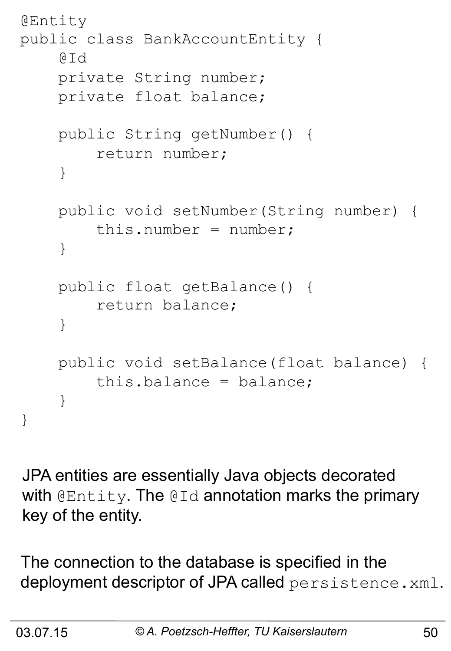```
@Entity 
public class BankAccountEntity { 
     @Id 
     private String number; 
     private float balance; 
     public String getNumber() { 
          return number; 
     } 
     public void setNumber(String number) { 
         this.number = number;
     } 
     public float getBalance() { 
          return balance; 
 } 
     public void setBalance(float balance) { 
          this.balance = balance; 
     } 
}
```
JPA entities are essentially Java objects decorated with @Entity. The @Id annotation marks the primary key of the entity.

The connection to the database is specified in the deployment descriptor of JPA called persistence.xml.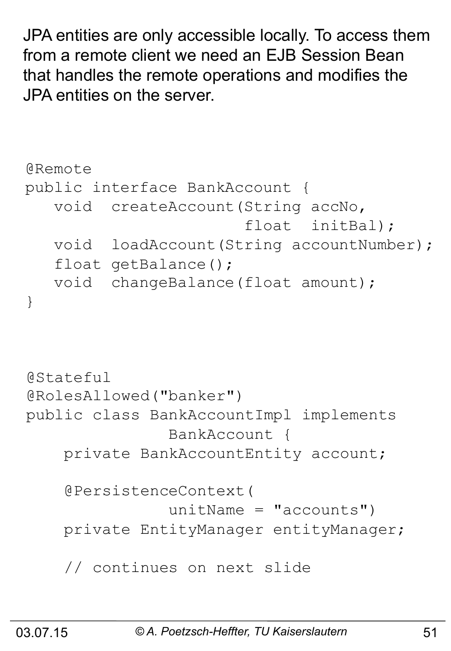JPA entities are only accessible locally. To access them from a remote client we need an EJB Session Bean that handles the remote operations and modifies the JPA entities on the server.

```
@Remote 
public interface BankAccount { 
    void createAccount(String accNo, 
                          float initBal); 
    void loadAccount(String accountNumber); 
   float getBalance();
    void changeBalance(float amount); 
} 
@Stateful
@RolesAllowed("banker") 
public class BankAccountImpl implements 
                 BankAccount { 
     private BankAccountEntity account; 
     @PersistenceContext( 
                unitName = "accounds") private EntityManager entityManager; 
     // continues on next slide
```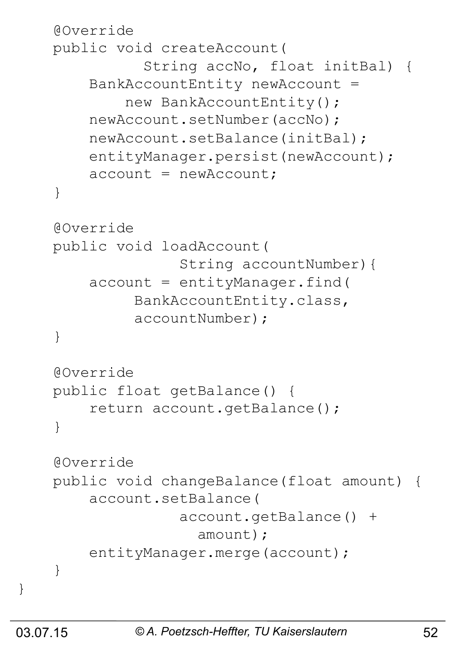```
 @Override 
     public void createAccount( 
                String accNo, float initBal) { 
         BankAccountEntity newAccount = 
             new BankAccountEntity();
         newAccount.setNumber(accNo); 
         newAccount.setBalance(initBal); 
        entityManager.persist(newAccount);
        account = newAccount; } 
     @Override 
     public void loadAccount( 
                    String accountNumber){ 
        account = entityManager.find( BankAccountEntity.class, 
               accountNumber); 
     } 
     @Override 
     public float getBalance() { 
         return account.getBalance(); 
 } 
     @Override 
     public void changeBalance(float amount) { 
         account.setBalance( 
                    account.getBalance() + 
                      amount); 
        entityManager.merge(account);
 }
```
}